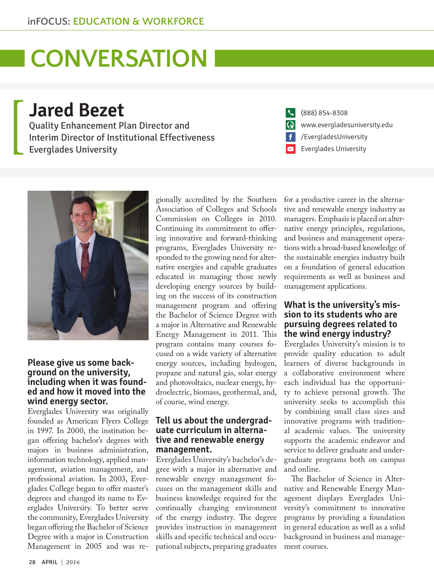# **LCONVERSATION**

**Jared Bezet** Quality Enhancement Plan Director and Interim Director of Institutional Effectiveness

Everglades University



### **Please give us some background on the university, including when it was founded and how it moved into the wind energy sector.**

Everglades University was originally founded as American Flyers College in 1997. In 2000, the institution began offering bachelor's degrees with majors in business administration, information technology, applied management, aviation management, and professional aviation. In 2003, Everglades College began to offer master's degrees and changed its name to Everglades University. To better serve the community, Everglades University began offering the Bachelor of Science Degree with a major in Construction Management in 2005 and was re-

gionally accredited by the Southern Association of Colleges and Schools Commission on Colleges in 2010. Continuing its commitment to offering innovative and forward-thinking programs, Everglades University responded to the growing need for alternative energies and capable graduates educated in managing those newly developing energy sources by building on the success of its construction management program and offering the Bachelor of Science Degree with a major in Alternative and Renewable Energy Management in 2011. This program contains many courses focused on a wide variety of alternative energy sources, including hydrogen, propane and natural gas, solar energy and photovoltaics, nuclear energy, hydroelectric, biomass, geothermal, and, of course, wind energy.

### **Tell us about the undergraduate curriculum in alternative and renewable energy management.**

Everglades University's bachelor's degree with a major in alternative and renewable energy management focuses on the management skills and business knowledge required for the continually changing environment of the energy industry. The degree provides instruction in management skills and specific technical and occupational subjects, preparing graduates

| (888) 854-8308                      |
|-------------------------------------|
| www.evergladesuniversity.edu        |
| $\left  \int$ /EvergladesUniversity |
| Everglades University               |

for a productive career in the alternative and renewable energy industry as managers. Emphasis is placed on alternative energy principles, regulations, and business and management operations with a broad-based knowledge of the sustainable energies industry built on a foundation of general education requirements as well as business and management applications.

### **What is the university's mission to its students who are pursuing degrees related to the wind energy industry?**

Everglades University's mission is to provide quality education to adult learners of diverse backgrounds in a collaborative environment where each individual has the opportunity to achieve personal growth. The university seeks to accomplish this by combining small class sizes and innovative programs with traditional academic values. The university supports the academic endeavor and service to deliver graduate and undergraduate programs both on campus and online.

The Bachelor of Science in Alternative and Renewable Energy Management displays Everglades University's commitment to innovative programs by providing a foundation in general education as well as a solid background in business and management courses.